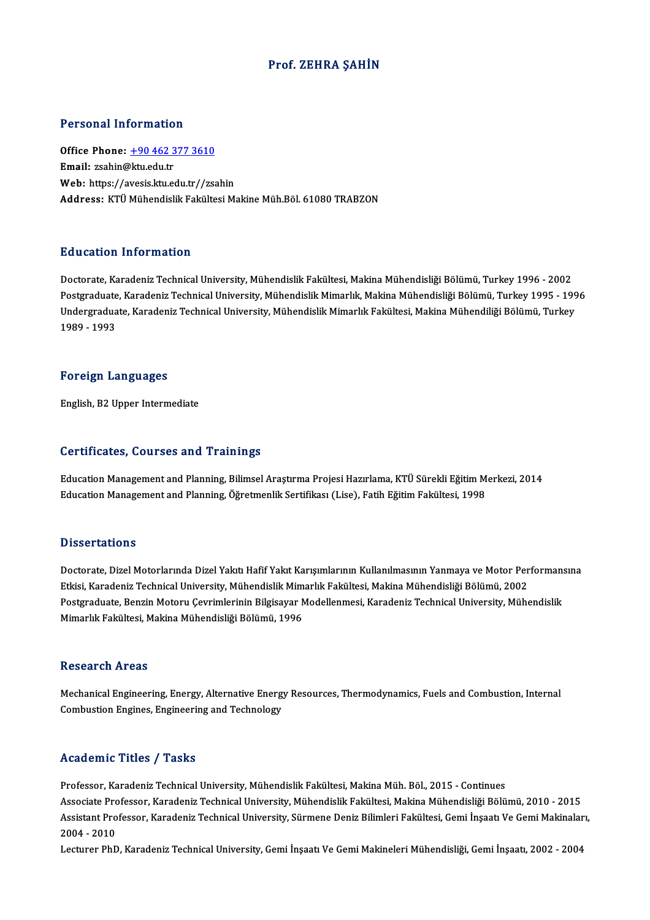#### Prof. ZEHRA ŞAHİN

#### Personal Information

Personal Information<br>Office Phone: <u>+90 462 377 3610</u><br>Email: geobin@ku odutr Fersonar Internation<br>Office Phone: <u>+90 462 3</u><br>Email: zsahin@ktu.edu.tr Email: zsahin@ktu.edu.tr<br>Web: https://a[vesis.ktu.edu.tr//zs](tel:+90 462 377 3610)ahin Address: KTÜ Mühendislik Fakültesi Makine Müh.Böl. 61080 TRABZON

#### Education Information

Doctorate, Karadeniz Technical University, Mühendislik Fakültesi, Makina Mühendisliği Bölümü, Turkey 1996 - 2002 Postgraduate, Karadeniz Technical University, Mühendislik Mimarlık, Makina Mühendisliği Bölümü, Turkey 1995 - 1996 Doctorate, Karadeniz Technical University, Mühendislik Fakültesi, Makina Mühendisliği Bölümü, Turkey 1996 - 2002<br>Postgraduate, Karadeniz Technical University, Mühendislik Mimarlık, Makina Mühendisliği Bölümü, Turkey 1995 -Postgraduate<br>Undergradua<br>1989 - 1993

# 1989 - 1993<br>Foreign Languages

English,B2Upper Intermediate

#### Certificates, Courses and Trainings

Education Management and Planning, Bilimsel Araştırma Projesi Hazırlama, KTÜ Sürekli Eğitim Merkezi, 2014 Education Management and Planning, Öğretmenlik Sertifikası (Lise), Fatih Eğitim Fakültesi, 1998

#### **Dissertations**

Dissertations<br>Doctorate, Dizel Motorlarında Dizel Yakıtı Hafif Yakıt Karışımlarının Kullanılmasının Yanmaya ve Motor Performansına<br>Etkişi Kanaderiz Teshnicel University Mühendislik Mimarlık Fekültesi Mekine Mühendisliği Bö Etisser tatronis<br>Doctorate, Dizel Motorlarında Dizel Yakıtı Hafif Yakıt Karışımlarının Kullanılmasının Yanmaya ve Motor Per<br>Etkisi, Karadeniz Technical University, Mühendislik Mimarlık Fakültesi, Makina Mühendisliği Bölümü Doctorate, Dizel Motorlarında Dizel Yakıtı Hafif Yakıt Karışımlarının Kullanılmasının Yanmaya ve Motor Performans<br>Etkisi, Karadeniz Technical University, Mühendislik Mimarlık Fakültesi, Makina Mühendisliği Bölümü, 2002<br>Pos Etkisi, Karadeniz Technical University, Mühendislik Mim<br>Postgraduate, Benzin Motoru Çevrimlerinin Bilgisayar M<br>Mimarlık Fakültesi, Makina Mühendisliği Bölümü, 1996 Mimarlık Fakültesi, Makina Mühendisliği Bölümü, 1996<br>Research Areas

Mechanical Engineering, Energy, Alternative Energy Resources, Thermodynamics, Fuels and Combustion, Internal Combustion Engines, Engineering and Technology

#### Academic Titles / Tasks

Professor, Karadeniz Technical University, Mühendislik Fakültesi, Makina Müh. Böl., 2015 - Continues Associate Professor, Karadeniz Technical University, Mühendislik Fakültesi, Makina Mühendisliği Bölümü, 2010 - 2015 Professor, Karadeniz Technical University, Mühendislik Fakültesi, Makina Müh. Böl., 2015 - Continues<br>Associate Professor, Karadeniz Technical University, Mühendislik Fakültesi, Makina Mühendisliği Bölümü, 2010 - 2015<br>Assis Associate Pro<br>Assistant Pro<br>2004 - 2010<br>Lecturer PhD Assistant Professor, Karadeniz Technical University, Sürmene Deniz Bilimleri Fakültesi, Gemi İnşaatı Ve Gemi Makinalar<br>2004 - 2010<br>Lecturer PhD, Karadeniz Technical University, Gemi İnşaatı Ve Gemi Makineleri Mühendisliği,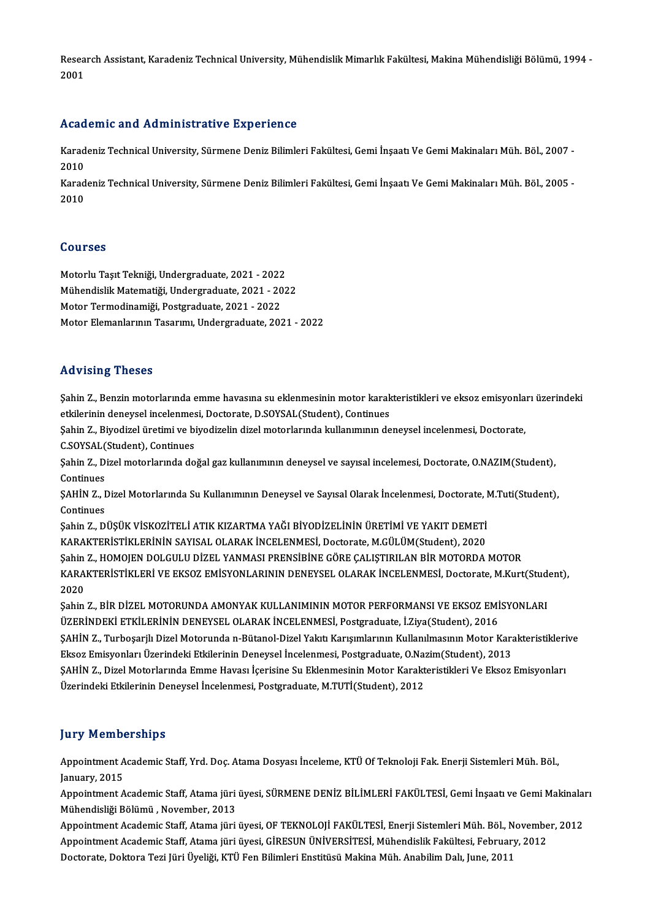Research Assistant, Karadeniz Technical University, Mühendislik Mimarlık Fakültesi, Makina Mühendisliği Bölümü, 1994 -<br>2001 Resea<br>2001

## Academic and Administrative Experience

**Academic and Administrative Experience**<br>Karadeniz Technical University, Sürmene Deniz Bilimleri Fakültesi, Gemi İnşaatı Ve Gemi Makinaları Müh. Böl., 2007 xxxa<br>Karad<br>2010<br>Karad Karadeniz Technical University, Sürmene Deniz Bilimleri Fakültesi, Gemi İnşaatı Ve Gemi Makinaları Müh. Böl., 2007 -<br>2010<br>Karadeniz Technical University, Sürmene Deniz Bilimleri Fakültesi, Gemi İnşaatı Ve Gemi Makinaları M

2010<br>Karadeniz Technical University, Sürmene Deniz Bilimleri Fakültesi, Gemi İnşaatı Ve Gemi Makinaları Müh. Böl., 2005 -<br>2010

#### Courses

Motorlu Taşıt Tekniği, Undergraduate, 2021 - 2022 uourses<br>Motorlu Taşıt Tekniği, Undergraduate, 2021 - 2022<br>Mühendislik Matematiği, Undergraduate, 2021 - 2022<br>Meter Termodinamiği, Bestanaduate, 2021 - 2022 Motorlu Taşıt Tekniği, Undergraduate, 2021 - 2022<br>Mühendislik Matematiği, Undergraduate, 2021 - 20<br>Motor Termodinamiği, Postgraduate, 2021 - 2022<br>Motor Elemoniarının Tesarımı, Undergraduate, 202 Motor Termodinamiği, Postgraduate, 2021 - 2022<br>Motor Elemanlarının Tasarımı, Undergraduate, 2021 - 2022

#### Advising Theses

Şahin Z., Benzin motorlarında emme havasına su eklenmesinin motor karakteristikleri ve eksoz emisyonları üzerindeki eta vienny<br>Sahin Z., Benzin motorlarında emme havasına su eklenmesinin motor karak<br>etkilerinin deneysel incelenmesi, Doctorate, D.SOYSAL(Student), Continues<br>Sahin Z., Bivodirel ünetimi ve hivodirelin direl metorlarında kul

Şahin Z., Biyodizel üretimi ve biyodizelin dizel motorlarında kullanımının deneysel incelenmesi, Doctorate, etkilerinin deneysel incelenmes<br>Şahin Z., Biyodizel üretimi ve bi<br>C.SOYSAL(Student), Continues<br>Sahin Z., Direl meterleninda da C.SOYSAL(Student), Continues

Şahin Z., Dizel motorlarında doğal gaz kullanımının deneysel ve sayısal incelemesi, Doctorate, O.NAZIM(Student),<br>Continues Şahin Z., Dizel motorlarında doğal gaz kullanımının deneysel ve sayısal incelemesi, Doctorate, O.NAZIM(Student),<br>Continues<br>ŞAHİN Z., Dizel Motorlarında Su Kullanımının Deneysel ve Sayısal Olarak İncelenmesi, Doctorate, M.T

Continues<br>ȘAHİN Z., I<br>Continues<br>Sebin Z. D. ŞAHİN Z., Dizel Motorlarında Su Kullanımının Deneysel ve Sayısal Olarak İncelenmesi, Doctorate, I<br>Continues<br>Şahin Z., DÜŞÜK VİSKOZİTELİ ATIK KIZARTMA YAĞI BİYODİZELİNİN ÜRETİMİ VE YAKIT DEMETİ<br>KARAKTERİSTİKI ERİNİN SAYISAL Continues<br>Şahin Z., DÜŞÜK VİSKOZİTELİ ATIK KIZARTMA YAĞI BİYODİZELİNİN ÜRETİMİ VE YAKIT DEMETİ<br>KARAKTERİSTİKLERİNİN SAYISAL OLARAK İNCELENMESİ, Doctorate, M.GÜLÜM(Student), 2020<br>Sebin Z., HOMOJEN DOLGU U DİZEL YANMASI PREN

Şahin Z., DÜŞÜK VİSKOZİTELİ ATIK KIZARTMA YAĞI BİYODİZELİNİN ÜRETİMİ VE YAKIT DEMETİ<br>KARAKTERİSTİKLERİNİN SAYISAL OLARAK İNCELENMESİ, Doctorate, M.GÜLÜM(Student), 2020<br>Şahin Z., HOMOJEN DOLGULU DİZEL YANMASI PRENSİBİNE GÖR

KARAKTERİSTİKLERİNİN SAYISAL OLARAK İNCELENMESİ, Doctorate, M.GÜLÜM(Student), 2020<br>Şahin Z., HOMOJEN DOLGULU DİZEL YANMASI PRENSİBİNE GÖRE ÇALIŞTIRILAN BİR MOTORDA MOTOR<br>KARAKTERİSTİKLERİ VE EKSOZ EMİSYONLARININ DENEYSEL O Şahin<br>KARA<br>2020<br><sup>Sahin</sup> KARAKTERİSTİKLERİ VE EKSOZ EMİSYONLARININ DENEYSEL OLARAK İNCELENMESİ, Doctorate, M.Kurt(Stud<br>2020<br>Şahin Z., BİR DİZEL MOTORUNDA AMONYAK KULLANIMININ MOTOR PERFORMANSI VE EKSOZ EMİSYONLARI<br>ÜZEPİNDEKİ ETKİLEPİNIN DENEYSEL O

2020<br>Şahin Z., BİR DİZEL MOTORUNDA AMONYAK KULLANIMININ MOTOR PERFORMANSI VE EKSOZ EMİSYONLARI<br>ÜZERİNDEKİ ETKİLERİNİN DENEYSEL OLARAK İNCELENMESİ, Postgraduate, İ.Ziya(Student), 2016 Şahin Z., BİR DİZEL MOTORUNDA AMONYAK KULLANIMININ MOTOR PERFORMANSI VE EKSOZ EMİSYONLARI<br>ÜZERİNDEKİ ETKİLERİNİN DENEYSEL OLARAK İNCELENMESİ, Postgraduate, İ.Ziya(Student), 2016<br>ŞAHİN Z., Turboşarjlı Dizel Motorunda n-Büta ÜZERİNDEKİ ETKİLERİNİN DENEYSEL OLARAK İNCELENMESİ, Postgraduate, İ.Ziya(Student), 2016<br>ŞAHİN Z., Turboşarjlı Dizel Motorunda n-Bütanol-Dizel Yakıtı Karışımlarının Kullanılmasının Motor Kara<br>Eksoz Emisyonları Üzerindeki Et ŞAHİN Z., Turboşarjlı Dizel Motorunda n-Bütanol-Dizel Yakıtı Karışımlarının Kullanılmasının Motor Karakteristikleri<br>Eksoz Emisyonları Üzerindeki Etkilerinin Deneysel İncelenmesi, Postgraduate, O.Nazim(Student), 2013<br>ŞAHİN Eksoz Emisyonları Üzerindeki Etkilerinin Deneysel İncelenmesi, Postgraduate, O.Nazim(Student), 2013<br>ŞAHİN Z., Dizel Motorlarında Emme Havası İçerisine Su Eklenmesinin Motor Karakteristikleri Ve Eksoz Emisyonları<br>Üzerindeki

#### **Jury Memberships**

**Jury Memberships**<br>Appointment Academic Staff, Yrd. Doç. Atama Dosyası İnceleme, KTÜ Of Teknoloji Fak. Enerji Sistemleri Müh. Böl.,<br>Ispyaw: 2015 Appointment<br>January, 2015<br>Appointment A Appointment Academic Staff, Yrd. Doç. Atama Dosyası İnceleme, KTÜ Of Teknoloji Fak. Enerji Sistemleri Müh. Böl.,<br>January, 2015<br>Appointment Academic Staff, Atama jüri üyesi, SÜRMENE DENİZ BİLİMLERİ FAKÜLTESİ, Gemi İnşaatı v

January, 2015<br>Appointment Academic Staff, Atama jüri<br>Mühendisliği Bölümü , November, 2013<br>Annointment Academic Staff, Atama jüri Appointment Academic Staff, Atama jüri üyesi, SÜRMENE DENİZ BİLİMLERİ FAKÜLTESİ, Gemi İnşaatı ve Gemi Makinalaı<br>Mühendisliği Bölümü , November, 2013<br>Appointment Academic Staff, Atama jüri üyesi, OF TEKNOLOJİ FAKÜLTESİ, Ene

Mühendisliği Bölümü , November, 2013<br>Appointment Academic Staff, Atama jüri üyesi, OF TEKNOLOJİ FAKÜLTESİ, Enerji Sistemleri Müh. Böl., Novembe<br>Appointment Academic Staff, Atama jüri üyesi, GİRESUN ÜNİVERSİTESİ, Mühendisli Appointment Academic Staff, Atama jüri üyesi, OF TEKNOLOJİ FAKÜLTESİ, Enerji Sistemleri Müh. Böl., N<br>Appointment Academic Staff, Atama jüri üyesi, GİRESUN ÜNİVERSİTESİ, Mühendislik Fakültesi, Februar<br>Doctorate, Doktora Tez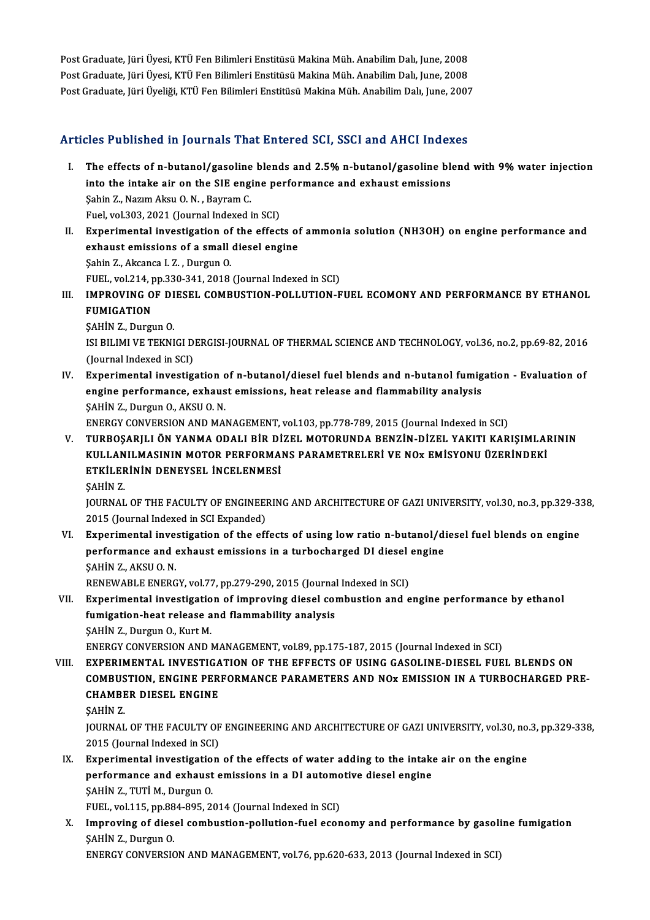Post Graduate, Jüri Üyesi, KTÜ Fen Bilimleri Enstitüsü Makina Müh. Anabilim Dalı, June, 2008 Post Graduate, Jüri Üyesi, KTÜ Fen Bilimleri Enstitüsü Makina Müh. Anabilim Dalı, June, 2008 Post Graduate, Jüri Üyeliği, KTÜ Fen Bilimleri Enstitüsü Makina Müh. Anabilim Dalı, June, 2007

### Articles Published in Journals That Entered SCI, SSCI and AHCI Indexes

- rticles Published in Journals That Entered SCI, SSCI and AHCI Indexes<br>I. The effects of n-butanol/gasoline blends and 2.5% n-butanol/gasoline blend with 9% water injection<br>into the inteke sir on the SIE engine performance The effects of n-butanol/gasoline blends and 2.5% n-butanol/gasoline blends<br>into the intake air on the SIE engine performance and exhaust emissions<br>Sabin 7, Nazum Alcu O.N., Bauram C The effects of n-butanol/gasoline<br>into the intake air on the SIE eng<br>Şahin Z., Nazım Aksu O.N., Bayram C. into the intake air on the SIE engine performance and exhaust emissions<br>Sahin Z., Nazım Aksu O. N. , Bayram C.<br>Fuel, vol.303, 2021 (Journal Indexed in SCI) Sahin Z., Nazım Aksu O. N. , Bayram C.<br>Fuel, vol.303, 2021 (Journal Indexed in SCI)<br>II. Experimental investigation of the effects of ammonia solution (NH3OH) on engine performance and<br>experimental investigation of the effe
- Fuel, vol.303, 2021 (Journal Indexed in SCI)<br>Experimental investigation of the effects of<br>exhaust emissions of a small diesel engine<br>Sebin 7, Aksansa L.7, Dursun O Experimental investigation of<br>exhaust emissions of a small<br>Şahin Z., Akcanca I. Z., Durgun O.<br>EUEL. vel 214. pp 220, 241, 2019. exhaust emissions of a small diesel engine<br>Şahin Z., Akcanca I. Z. , Durgun O.<br>FUEL, vol.214, pp.330-341, 2018 (Journal Indexed in SCI)<br>IMPROVING OF DIESEL COMPUSTION POLLUTION E Sahin Z., Akcanca I. Z. , Durgun O.<br>FUEL, vol.214, pp.330-341, 2018 (Journal Indexed in SCI)<br>III. IMPROVING OF DIESEL COMBUSTION-POLLUTION-FUEL ECOMONY AND PERFORMANCE BY ETHANOL<br>FUMIGATION
- FUEL, vol.214, <sub>I</sub><br>IMPROVING O<br>FUMIGATION<br>SAH<sup>IN 7</sup>, Purcy

ŞAHİNZ, Durgun O. FUMIGATION<br>ŞAHİN Z., Durgun O.<br>ISI BILIMI VE TEKNIGI DERGISI-JOURNAL OF THERMAL SCIENCE AND TECHNOLOGY, vol.36, no.2, pp.69-82, 2016<br>(Jaunnal Indexed in SC) SAHİN Z., Durgun O.<br>ISI BILIMI VE TEKNIGI D.<br>(Journal Indexed in SCI)<br>Exporimental investig

IV. Experimental investigation of n-butanol/diesel fuel blends and n-butanol fumigation - Evaluation of (Journal Indexed in SCI)<br>Experimental investigation of n-butanol/diesel fuel blends and n-butanol fumig<br>engine performance, exhaust emissions, heat release and flammability analysis<br>SAHIN Z. Durgun O. AKSU O. N Experimental investigation c<br>engine performance, exhaus<br>SAHİN Z., Durgun O., AKSU O. N.<br>ENEPCY CONVERSION AND MA. engine performance, exhaust emissions, heat release and flammability analysis<br>ŞAHİN Z., Durgun O., AKSU O. N.<br>ENERGY CONVERSION AND MANAGEMENT, vol.103, pp.778-789, 2015 (Journal Indexed in SCI)<br>TURROSARILLÖN YANMA ODALLRİ

SAHİN Z., Durgun O., AKSU O. N.<br>ENERGY CONVERSION AND MANAGEMENT, vol.103, pp.778-789, 2015 (Journal Indexed in SCI)<br>V. TURBOŞARJLI ÖN YANMA ODALI BİR DİZEL MOTORUNDA BENZİN-DİZEL YAKITI KARIŞIMLARININ<br>KILLANILMASININ ENERGY CONVERSION AND MANAGEMENT, vol.103, pp.778-789, 2015 (Journal Indexed in SCI)<br>TURBOŞARJLI ÖN YANMA ODALI BİR DİZEL MOTORUNDA BENZİN-DİZEL YAKITI KARIŞIMLAI<br>KULLANILMASININ MOTOR PERFORMANS PARAMETRELERİ VE NOx EMİSY TURBOŞARJLI ÖN YANMA ODALI BİR Dİ<br>KULLANILMASININ MOTOR PERFORMA<br>ETKİLERİNİN DENEYSEL İNCELENMESİ<br>SAHİN 7 KULLAN<br>ETKİLEF<br>ŞAHİN Z.<br>JOUPNAL

SAHIN Z.<br>JOURNAL OF THE FACULTY OF ENGINEERING AND ARCHITECTURE OF GAZI UNIVERSITY, vol.30, no.3, pp.329-338, 2015 (Journal Indexed in SCI Expanded) JOURNAL OF THE FACULTY OF ENGINEERING AND ARCHITECTURE OF GAZI UNIVERSITY, vol.30, no.3, pp.329-3.<br>2015 (Journal Indexed in SCI Expanded)<br>VI. Experimental investigation of the effects of using low ratio n-butanol/diesel fu

2015 (Journal Indexed in SCI Expanded)<br>Experimental investigation of the effects of using low ratio n-butanol/di<br>performance and exhaust emissions in a turbocharged DI diesel engine<br>SAHIN Z AKSUO N Experimental inve:<br>performance and e<br>SAHİN Z., AKSU O.N.<br>PENEWARLE ENERC performance and exhaust emissions in a turbocharged DI diesel engine<br>SAHIN Z., AKSU O. N.<br>RENEWABLE ENERGY, vol.77, pp.279-290, 2015 (Journal Indexed in SCI) SAHİN Z., AKSU O. N.<br>RENEWABLE ENERGY, vol.77, pp.279-290, 2015 (Journal Indexed in SCI)<br>VII. Experimental investigation of improving diesel combustion and engine performance by ethanol<br>fumisation best release and flam

RENEWABLE ENERGY, vol.77, pp.279-290, 2015 (Journal<br>Experimental investigation of improving diesel completed flammability analysis<br>SAHIN 7, Durgun O, Kurt M Experimental investigatio<br>fumigation-heat release a<br>ŞAHİN Z., Durgun O., Kurt M.<br>ENEPCY CONVERSION AND L fumigation-heat release and flammability analysis<br>SAHİN Z., Durgun O., Kurt M.<br>ENERGY CONVERSION AND MANAGEMENT, vol.89, pp.175-187, 2015 (Journal Indexed in SCI)

- SAHIN Z., Durgun O., Kurt M.<br>ENERGY CONVERSION AND MANAGEMENT, vol.89, pp.175-187, 2015 (Journal Indexed in SCI)<br>VIII. EXPERIMENTAL INVESTIGATION OF THE EFFECTS OF USING GASOLINE-DIESEL FUEL BLENDS ON<br>COMPUSTION ENCINE RER ENERGY CONVERSION AND MANAGEMENT, vol.89, pp.175-187, 2015 (Journal Indexed in SCI)<br>EXPERIMENTAL INVESTIGATION OF THE EFFECTS OF USING GASOLINE-DIESEL FUEL BLENDS ON<br>COMBUSTION, ENGINE PERFORMANCE PARAMETERS AND NOx EMISSI EXPERIMENTAL INVESTIGA<br>COMBUSTION, ENGINE PER<br>CHAMBER DIESEL ENGINE<br>SAHIN 7 COMBUSTION, ENGINE PERFORMANCE PARAMETERS AND NOx EMISSION IN A TURBOCHARGED PRE-<br>CHAMBER DIESEL ENGINE<br>ŞAHİN Z.
	-

CHAMBER DIESEL ENGINE<br>ŞAHİN Z.<br>JOURNAL OF THE FACULTY OF ENGINEERING AND ARCHITECTURE OF GAZI UNIVERSITY, vol.30, no.3, pp.329-338,<br>2015 (Journal Indoved in SCI) SAHİN Z.<br>JOURNAL OF THE FACULTY OF<br>2015 (Journal Indexed in SCI)<br>Eunonimental inuestisation JOURNAL OF THE FACULTY OF ENGINEERING AND ARCHITECTURE OF GAZI UNIVERSITY, vol.30, no.<br>2015 (Journal Indexed in SCI)<br>IX. Experimental investigation of the effects of water adding to the intake air on the engine<br>nonformance

2015 (Journal Indexed in SCI)<br>Experimental investigation of the effects of water adding to the intaken<br>performance and exhaust emissions in a DI automotive diesel engine<br>SAHIN Z. TUTI M. Durgun O Experimental investigatio<br>performance and exhaust<br>SAHİN Z., TUTİ M., Durgun O.<br>EUEL vol 115, nn 994, 905, 20 performance and exhaust emissions in a DI automotive diesel engine<br>\$AHİN Z., TUTİ M., Durgun O.<br>FUEL, vol.115, pp.884-895, 2014 (Journal Indexed in SCI)

SAHIN Z., TUTI M., Durgun O.<br>FUEL, vol.115, pp.884-895, 2014 (Journal Indexed in SCI)<br>X. Improving of diesel combustion-pollution-fuel economy and performance by gasoline fumigation<br>SAHIN Z. Durgun O. FUEL, vol.115, pp.88<br>Improving of dies<br>ŞAHİN Z., Durgun O.<br>ENERCY CONVERSIG I<mark>mproving of diesel combustion-pollution-fuel economy and performance by gasoli</mark><br>ŞAHİN Z., Durgun O.<br>ENERGY CONVERSION AND MANAGEMENT, vol.76, pp.620-633, 2013 (Journal Indexed in SCI)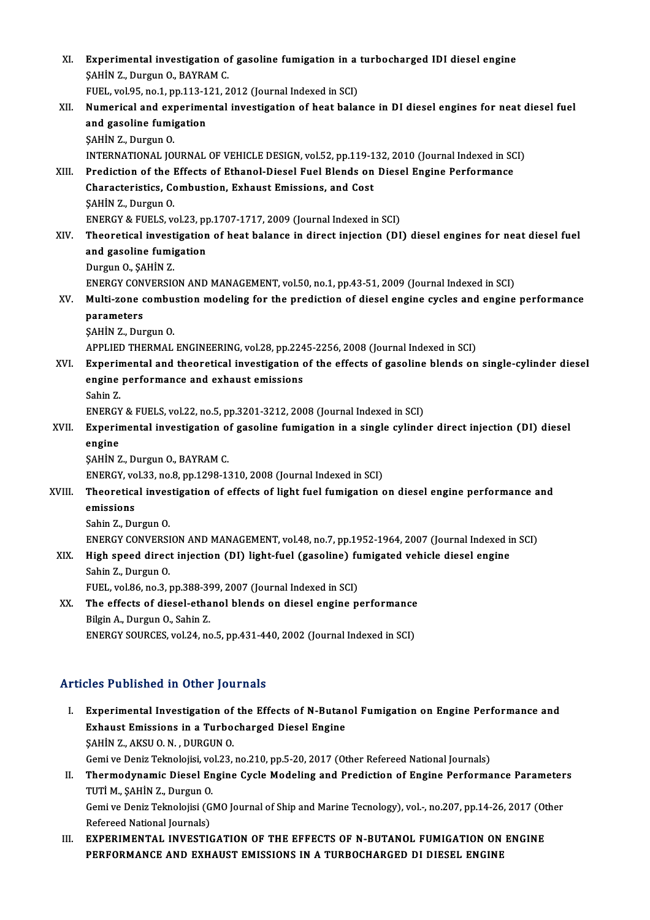| XI.    | Experimental investigation of gasoline fumigation in a turbocharged IDI diesel engine<br>SAHIN Z., Durgun O., BAYRAM C.       |
|--------|-------------------------------------------------------------------------------------------------------------------------------|
|        | FUEL, vol.95, no.1, pp.113-121, 2012 (Journal Indexed in SCI)                                                                 |
| XII.   | Numerical and experimental investigation of heat balance in DI diesel engines for neat diesel fuel<br>and gasoline fumigation |
|        | <b>SAHIN Z., Durgun O.</b>                                                                                                    |
|        | INTERNATIONAL JOURNAL OF VEHICLE DESIGN, vol.52, pp.119-132, 2010 (Journal Indexed in SCI)                                    |
| XIII.  | Prediction of the Effects of Ethanol-Diesel Fuel Blends on Diesel Engine Performance                                          |
|        | Characteristics, Combustion, Exhaust Emissions, and Cost                                                                      |
|        | <b><i>ŞAHİN Z, Durgun O.</i></b>                                                                                              |
|        | ENERGY & FUELS, vol.23, pp.1707-1717, 2009 (Journal Indexed in SCI)                                                           |
| XIV.   | Theoretical investigation of heat balance in direct injection (DI) diesel engines for neat diesel fuel                        |
|        | and gasoline fumigation                                                                                                       |
|        | Durgun O., ŞAHİN Z.                                                                                                           |
|        | ENERGY CONVERSION AND MANAGEMENT, vol.50, no.1, pp.43-51, 2009 (Journal Indexed in SCI)                                       |
| XV.    | Multi-zone combustion modeling for the prediction of diesel engine cycles and engine performance                              |
|        | parameters                                                                                                                    |
|        | ŞAHİN Z., Durgun O.                                                                                                           |
|        | APPLIED THERMAL ENGINEERING, vol.28, pp.2245-2256, 2008 (Journal Indexed in SCI)                                              |
| XVI.   | Experimental and theoretical investigation of the effects of gasoline blends on single-cylinder diesel                        |
|        | engine performance and exhaust emissions                                                                                      |
|        | Sahin Z.                                                                                                                      |
|        | ENERGY & FUELS, vol.22, no.5, pp.3201-3212, 2008 (Journal Indexed in SCI)                                                     |
| XVII.  | Experimental investigation of gasoline fumigation in a single cylinder direct injection (DI) diesel                           |
|        | engine                                                                                                                        |
|        | SAHIN Z., Durgun O., BAYRAM C.                                                                                                |
|        | ENERGY, vol.33, no.8, pp.1298-1310, 2008 (Journal Indexed in SCI)                                                             |
| XVIII. | Theoretical investigation of effects of light fuel fumigation on diesel engine performance and                                |
|        | emissions                                                                                                                     |
|        | Sahin Z., Durgun O.                                                                                                           |
|        | ENERGY CONVERSION AND MANAGEMENT, vol.48, no.7, pp.1952-1964, 2007 (Journal Indexed in SCI)                                   |
| XIX.   | High speed direct injection (DI) light-fuel (gasoline) fumigated vehicle diesel engine<br>Sahin Z., Durgun O.                 |
|        | FUEL, vol.86, no.3, pp.388-399, 2007 (Journal Indexed in SCI)                                                                 |
| XX.    | The effects of diesel-ethanol blends on diesel engine performance                                                             |
|        | Bilgin A., Durgun O., Sahin Z.                                                                                                |
|        | ENERGY SOURCES, vol.24, no.5, pp.431-440, 2002 (Journal Indexed in SCI)                                                       |
|        |                                                                                                                               |

#### Articles Published in Other Journals

rticles Published in Other Journals<br>I. Experimental Investigation of the Effects of N-Butanol Fumigation on Engine Performance and<br>Experimental Investigation of the Effects of N-Butanol Fumigation on Engine Performance and Experimental Investigation of the Effects of N-Butan<br>Experimental Investigation of the Effects of N-Butan<br>Exhaust Emissions in a Turbocharged Diesel Engine Exhaust Emissions in a Turbocharged Diesel Engine<br>ŞAHİN Z., AKSU O. N., DURGUN O. Gemi ve Deniz Teknolojisi, vol.23, no.210, pp.5-20, 2017 (Other Refereed National Journals) SAHİN Z., AKSU O. N. , DURGUN O.<br>Gemi ve Deniz Teknolojisi, vol.23, no.210, pp.5-20, 2017 (Other Refereed National Journals)<br>II. Thermodynamic Diesel Engine Cycle Modeling and Prediction of Engine Performance Parameters

## Gemi ve Deniz Teknolojisi, vo<br>Thermodynamic Diesel En<br>TUTİ M., ŞAHİN Z., Durgun O.<br>Cemi ve Deniz Teknolojisi (Cl Thermodynamic Diesel Engine Cycle Modeling and Prediction of Engine Performance Parameter<br>TUTİ M., ŞAHİN Z., Durgun O.<br>Gemi ve Deniz Teknolojisi (GMO Journal of Ship and Marine Tecnology), vol.-, no.207, pp.14-26, 2017 (Ot TUTİ M., ŞAHİN Z., Durgun O.<br>Gemi ve Deniz Teknolojisi (GMO Journal of Ship and Marine Tecnology), vol.-, no.207, pp.14-26, 2017 (Ot<br>Refereed National Journals)<br>III. EXPERIMENTAL INVESTIGATION OF THE EFFECTS OF N-BUTAN Gemi ve Deniz Teknolojisi (GMO Journal of Ship and Marine Tecnology), vol.-, no.207, pp.14-26, 2017 (Other

PERFORMANCE AND EXHAUST EMISSIONS IN A TURBOCHARGED DI DIESEL ENGINE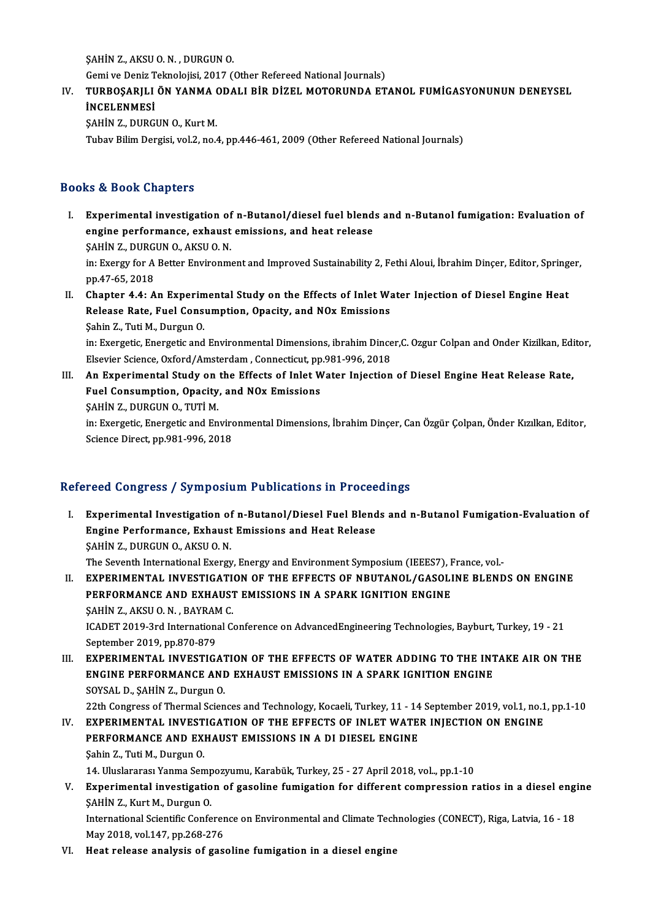ŞAHİNZ.,AKSUO.N. ,DURGUNO.

Gemi ve Deniz Teknolojisi, 2017 (Other Refereed National Journals)

ŞAHİN Z., AKSU O. N. , DURGUN O.<br>Gemi ve Deniz Teknolojisi, 2017 (Other Refereed National Journals)<br>IV. TURBOŞARJLI ÖN YANMA ODALI BİR DİZEL MOTORUNDA ETANOL FUMİGASYONUNUN DENEYSEL<br>İNCEL ENMESİ **Gemi ve Deniz T<br>TURBOŞARJLI<br>İNCELENMESİ**<br>SAHİN Z. DURCİ <mark>TURBOŞARJLI ÖN YANMA (</mark><br>İNCELENMESİ<br>ŞAHİN Z., DURGUN O., Kurt M.<br>Tubay Bilim Dargisi yal 2-na ( INCELENMESI<br>SAHIN Z., DURGUN O., Kurt M.<br>Tubav Bilim Dergisi, vol.2, no.4, pp.446-461, 2009 (Other Refereed National Journals)

### Books&Book Chapters

- I. Experimental investigation of n-Butanol/diesel fuel blends and n-Butanol fumigation: Evaluation of ence book diaspects<br>Experimental investigation of n-Butanol/diesel fuel blend<br>engine performance, exhaust emissions, and heat release<br>SAHIN Z. DUBCUN O. AVSU O.N Experimental investigation of<br>engine performance, exhaust<br>ŞAHİN Z., DURGUN O., AKSU O. N.<br>in: Exergy for A Better Environm in: Exergy for A Better Environment and Improved Sustainability 2, Fethi Aloui, İbrahim Dinçer, Editor, Springer,<br>pp.47-65, 2018 SAHIN Z., DURGUN O., AKSU O. N. In: Exergy for A Better Environment and Improved Sustainability 2, Fethi Aloui, İbrahim Dinçer, Editor, Spring<br>Pelanes 2018<br>II. Chapter 4.4: An Experimental Study on the Effects of Inlet Water Injection of Diesel Engine He
- pp.47-65, 2018<br>Chapter 4.4: An Experimental Study on the Effects of Inlet Wa<br>Release Rate, Fuel Consumption, Opacity, and NOx Emissions<br>Sebin 7, Tuti M. Durgun Q Release Rate, Fuel Consumption, Opacity, and NOx Emissions<br>Sahin Z., Tuti M., Durgun O. in: Exergetic, Energetic and Environmental Dimensions, ibrahim Dincer,C. Ozgur Colpan and Onder Kizilkan, Editor, Sahin Z., Tuti M., Durgun O.<br>in: Exergetic, Energetic and Environmental Dimensions, ibrahim Dince<br>Elsevier Science, Oxford/Amsterdam , Connecticut, pp.981-996, 2018<br>An Experimental Study on the Effects of Inlet Water Injec
- III. An Experimental Study on the Effects of Inlet Water Injection of Diesel Engine Heat Release Rate,<br>Fuel Consumption, Opacity, and NOx Emissions Elsevier Science, Oxford/Amsterdam , Connecticut, pp<br>An Experimental Study on the Effects of Inlet W<br>Fuel Consumption, Opacity, and NOx Emissions<br>SAHIN Z. DURCUN O. TUTI M ŞAHİNZ.,DURGUNO.,TUTİM. Fuel Consumption, Opacity, and NOx Emissions<br>ŞAHİN Z., DURGUN O., TUTİ M.<br>in: Exergetic, Energetic and Environmental Dimensions, İbrahim Dinçer, Can Özgür Çolpan, Önder Kızılkan, Editor, ȘAHİN Z., DURGUN O., TUTİ M.<br>in: Exergetic, Energetic and Enviro<br>Science Direct, pp.981-996, 2018

# Science Direct, pp.981-996, 2018<br>Refereed Congress / Symposium Publications in Proceedings

- I. Experimental Investigation of n-Butanol/Diesel Fuel Blends and n-Butanol Fumigation-Evaluation of Experimental Investigation of n-Butanol/Diesel Fuel Blend<br>Engine Performance, Exhaust Emissions and Heat Release Experimental Investigation of<br>Engine Performance, Exhaust<br>ŞAHİN Z., DURGUN O., AKSU O. N.<br>The Seventh International Evergy Engine Performance, Exhaust Emissions and Heat Release<br>ŞAHİN Z., DURGUN O., AKSU O. N.<br>The Seventh International Exergy, Energy and Environment Symposium (IEEES7), France, vol.-<br>EXPERIMENTAL INVESTICATION OF THE EFFECTS OF SAHIN Z., DURGUN O., AKSU O. N.<br>The Seventh International Exergy, Energy and Environment Symposium (IEEES7), France, vol.-<br>II. EXPERIMENTAL INVESTIGATION OF THE EFFECTS OF NBUTANOL/GASOLINE BLENDS ON ENGINE<br>REREORMANCE AND
- The Seventh International Exergy, Energy and Environment Symposium (IEEES7), F<br>EXPERIMENTAL INVESTIGATION OF THE EFFECTS OF NBUTANOL/GASOLI<br>PERFORMANCE AND EXHAUST EMISSIONS IN A SPARK IGNITION ENGINE<br>SAHIN Z AKSUO N. PAVP EXPERIMENTAL INVESTIGATI<br>PERFORMANCE AND EXHAUST<br>ŞAHİN Z., AKSU O.N. , BAYRAM C.<br>ICADET 2019 2rd International C. PERFORMANCE AND EXHAUST EMISSIONS IN A SPARK IGNITION ENGINE<br>ŞAHİN Z., AKSU O. N. , BAYRAM C.<br>ICADET 2019-3rd International Conference on AdvancedEngineering Technologies, Bayburt, Turkey, 19 - 21<br>Sentember 2019 np 870 879 SAHİN Z., AKSU O. N. , BAYRAN<br>ICADET 2019-3rd Internation:<br>September 2019, pp.870-879<br>EXPEPIMENTAL INVESTIC ICADET 2019-3rd International Conference on AdvancedEngineering Technologies, Bayburt, Turkey, 19 - 21<br>September 2019, pp.870-879<br>III. EXPERIMENTAL INVESTIGATION OF THE EFFECTS OF WATER ADDING TO THE INTAKE AIR ON THE
- September 2019, pp.870-879<br>EXPERIMENTAL INVESTIGATION OF THE EFFECTS OF WATER ADDING TO THE INT<br>ENGINE PERFORMANCE AND EXHAUST EMISSIONS IN A SPARK IGNITION ENGINE<br>SOVSAL D. SAHIN 7. Durgun Q EXPERIMENTAL INVESTIGAT<br>ENGINE PERFORMANCE ANI<br>SOYSAL D., ŞAHİN Z., Durgun O.<br>22th Congrees of Thermal Scien 22th Congress of Thermal Sciences and Technology, Kocaeli, Turkey, 11 - 14 September 2019, vol.1, no.1, pp.1-10<br>22th Congress of Thermal Sciences and Technology, Kocaeli, Turkey, 11 - 14 September 2019, vol.1, no.1, pp.1-1

SOYSAL D., ŞAHİN Z., Durgun O.<br>22th Congress of Thermal Sciences and Technology, Kocaeli, Turkey, 11 - 14 September 2019, vol.1, no.1<br>IV. EXPERIMENTAL INVESTIGATION OF THE EFFECTS OF INLET WATER INJECTION ON ENGINE 22th Congress of Thermal Sciences and Technology, Kocaeli, Turkey, 11 - 14<br>EXPERIMENTAL INVESTIGATION OF THE EFFECTS OF INLET WATE<br>PERFORMANCE AND EXHAUST EMISSIONS IN A DI DIESEL ENGINE<br>Sebin 7 - Tuti M. Durgun O EXPERIMENTAL INVEST<br>PERFORMANCE AND EX<br>Şahin Z., Tuti M., Durgun O.<br>14. Uluslararası Yanma San

PERFORMANCE AND EXHAUST EMISSIONS IN A DI DIESEL ENGINE<br>Şahin Z., Tuti M., Durgun O.<br>14. Uluslararası Yanma Sempozyumu, Karabük, Turkey, 25 - 27 April 2018, vol.., pp.1-10<br>Eunonimental investisation of saseline fumisation

Şahin Z., Tuti M., Durgun O.<br>14. Uluslararası Yanma Sempozyumu, Karabük, Turkey, 25 - 27 April 2018, vol.., pp.1-10<br>7. Experimental investigation of gasoline fumigation for different compression ratios in a diesel engine<br>1 14. Uluslararası Yanma Semp<br>Experimental investigatio<br>ŞAHİN Z., Kurt M., Durgun O.<br>International Scientific Cenfo Experimental investigation of gasoline fumigation for different compression ratios in a diesel eng<br>ŞAHİN Z., Kurt M., Durgun O.<br>International Scientific Conference on Environmental and Climate Technologies (CONECT), Riga, SAHİN Z., Kurt M., Durgun O.<br>International Scientific Conferer<br>May 2018, vol.147, pp.268-276<br>Hest release analysis of gas

International Scientific Conference on Environmental and Climate Tech<br>May 2018, vol.147, pp.268-276<br>VI. Heat release analysis of gasoline fumigation in a diesel engine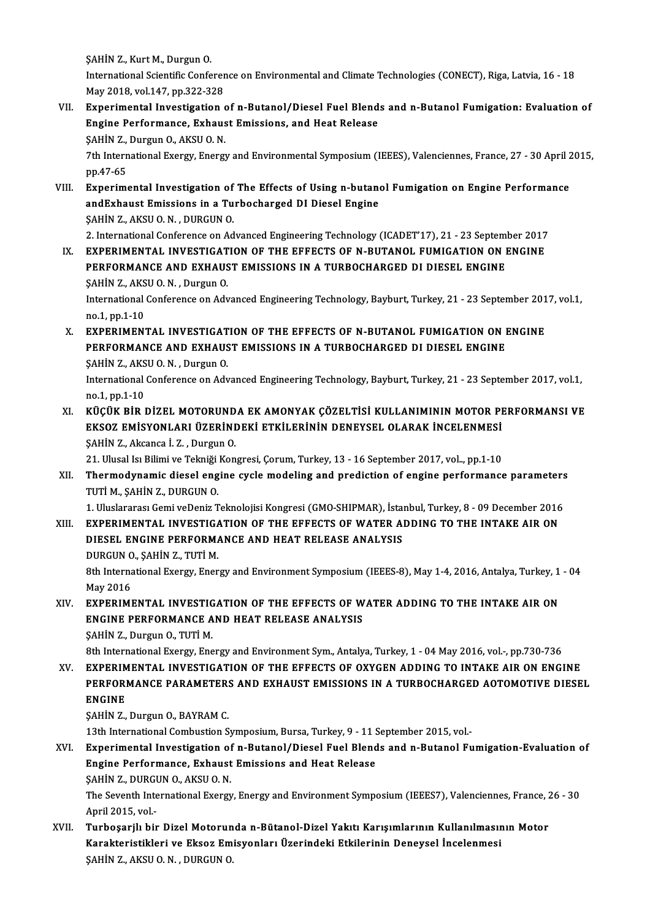ŞAHİNZ.,KurtM.,DurgunO. ŞAHİN Z., Kurt M., Durgun O.<br>International Scientific Conference on Environmental and Climate Technologies (CONECT), Riga, Latvia, 16 - 18<br>May 2018, vol 147, np.222, 229 SAHİN Z., Kurt M., Durgun O.<br>International Scientific Conferer<br>May 2018, vol.147, pp.322-328<br>Eunonimental Investigation International Scientific Conference on Environmental and Climate Technologies (CONECT), Riga, Latvia, 16 - 18<br>May 2018, vol.147, pp.322-328<br>VII. Experimental Investigation of n-Butanol/Diesel Fuel Blends and n-Butanol Fumi

- May 2018, vol.147, pp.322-328<br>Experimental Investigation of n-Butanol/Diesel Fuel Blend<br>Engine Performance, Exhaust Emissions, and Heat Release<br>SAHIN 7, Durgun O, AKSU O N Experimental Investigation<br>Engine Performance, Exhaus<br>ŞAHİN Z., Durgun O., AKSU O. N.<br>7th International Exergy, Energy Engine Performance, Exhaust Emissions, and Heat Release<br>ŞAHİN Z., Durgun O., AKSU O. N.<br>7th International Exergy, Energy and Environmental Symposium (IEEES), Valenciennes, France, 27 - 30 April 2015,<br>nn 47 65 SAHIN Z.,<br>7th Intern<br>pp.47-65<br>Experim:
- Th International Exergy, Energy and Environmental Symposium (IEEES), Valenciennes, France, 27 30 April 2<br>pp.47-65<br>VIII. Experimental Investigation of The Effects of Using n-butanol Fumigation on Engine Performance<br>andExh pp.47-65<br>Experimental Investigation of The Effects of Using n-butan<br>andExhaust Emissions in a Turbocharged DI Diesel Engine<br>SAHIN Z. AKSUO N. DURCUNO Experimental Investigation of<br>andExhaust Emissions in a Tu<br>ŞAHİN Z., AKSU O.N., DURGUN O.<br>2. International Conference on Ad andExhaust Emissions in a Turbocharged DI Diesel Engine<br>SAHİN Z., AKSU O. N. , DURGUN O.<br>2. International Conference on Advanced Engineering Technology (ICADET'17), 21 - 23 September 2017<br>EXPERIMENTAL INVESTICATION OF THE SAHIN Z., AKSU O. N., DURGUN O.<br>2. International Conference on Advanced Engineering Technology (ICADET 17), 21 - 23 September 2017<br>IX. EXPERIMENTAL INVESTIGATION OF THE EFFECTS OF N-BUTANOL FUMIGATION ON ENGINE<br>REREORMANCE

2. International Conference on Advanced Engineering Technology (ICADET'17), 21 - 23 Septem<br>EXPERIMENTAL INVESTIGATION OF THE EFFECTS OF N-BUTANOL FUMIGATION ON I<br>PERFORMANCE AND EXHAUST EMISSIONS IN A TURBOCHARGED DI DIESE IX. EXPERIMENTAL INVESTIGATION OF THE EFFECTS OF N-BUTANOL FUMIGATION ON ENGINE<br>PERFORMANCE AND EXHAUST EMISSIONS IN A TURBOCHARGED DI DIESEL ENGINE<br>SAHIN Z., AKSU O.N. , Durgun O. PERFORMANCE AND EXHAUST EMISSIONS IN A TURBOCHARGED DI DIESEL ENGINE<br>ŞAHİN Z., AKSU O. N. , Durgun O.<br>International Conference on Advanced Engineering Technology, Bayburt, Turkey, 21 - 23 September 2017, vol.1,<br>ne.1, n.1,

SAHIN Z., AKS<br>International<br>no.1, pp.1-10<br>EXPERIMEN' International Conference on Advanced Engineering Technology, Bayburt, Turkey, 21 - 23 September 201<br>no.1, pp.1-10<br>X. EXPERIMENTAL INVESTIGATION OF THE EFFECTS OF N-BUTANOL FUMIGATION ON ENGINE

no.1, pp.1-10<br>
X. EXPERIMENTAL INVESTIGATION OF THE EFFECTS OF N-BUTANOL FUMIGATION ON ENGINE<br>
PERFORMANCE AND EXHAUST EMISSIONS IN A TURBOCHARGED DI DIESEL ENGINE EXPERIMENTAL INVESTIGAT<br>PERFORMANCE AND EXHAUS<br>ŞAHİN Z., AKSU O.N. , Durgun O.

International Conference on Advanced Engineering Technology, Bayburt, Turkey, 21 - 23 September 2017, vol.1, no.1, pp.1-10 SAHİN Z., AKS<br>International<br>no.1, pp.1-10<br>Küçük Pip International Conference on Advanced Engineering Technology, Bayburt, Turkey, 21 - 23 September 2017, vol.1,<br>no.1, pp.1-10<br>XI. KÜÇÜK BİR DİZEL MOTORUNDA EK AMONYAK ÇÖZELTİSİ KULLANIMININ MOTOR PERFORMANSI VE<br>EVSOZ EMİSYONI

no.1, pp.1-10<br>KÜÇÜK BİR DİZEL MOTORUNDA EK AMONYAK ÇÖZELTİSİ KULLANIMININ MOTOR PI<br>EKSOZ EMİSYONLARI ÜZERİNDEKİ ETKİLERİNİN DENEYSEL OLARAK İNCELENMESİ<br>SAHİN Z. Aksansa İ. Z., Durgun Q KÜÇÜK BİR DİZEL MOTORUND<br>EKSOZ EMİSYONLARI ÜZERİNI<br>ŞAHİN Z., Akcanca İ. Z. , Durgun O.<br>21. Illusal ka Bilimi ve Telmiği Kon 21. EKSOZ EMİSYONLARI ÜZERİNDEKİ ETKİLERİNİN DENEYSEL OLARAK İNCELENMESİ<br>ŞAHİN Z., Akcanca İ. Z. , Durgun O.<br>21. Ulusal Isı Bilimi ve Tekniği Kongresi, Çorum, Turkey, 13 - 16 September 2017, vol.,, pp.1-10

SAHİN Z., Akcanca İ. Z. , Durgun O.<br>21. Ulusal Isı Bilimi ve Tekniği Kongresi, Çorum, Turkey, 13 - 16 September 2017, vol.., pp.1-10<br>XII. Thermodynamic diesel engine cycle modeling and prediction of engine performance 21. Ulusal Isı Bilimi ve Tekniği<br>Thermodynamic diesel eng<br>TUTİ M., ŞAHİN Z., DURGUN 0.<br>1. Uluslararası Cemi veDeniz T Thermodynamic diesel engine cycle modeling and prediction of engine performance parameters<br>TUTİ M., ŞAHİN Z., DURGUN O.<br>1. Uluslararası Gemi veDeniz Teknolojisi Kongresi (GMO-SHIPMAR), İstanbul, Turkey, 8 - 09 December 201

TUTİ M., ŞAHİN Z., DURGUN O.<br>1. Uluslararası Gemi veDeniz Teknolojisi Kongresi (GMO-SHIPMAR), İstanbul, Turkey, 8 - 09 December 2016<br>2011 - XIII. EXPERIMENTAL INVESTIGATION OF THE EFFECTS OF WATER ADDING TO THE INTAKE AIR 1. Uluslararası Gemi veDeniz Teknolojisi Kongresi (GMO-SHIPMAR), İstan<br>EXPERIMENTAL INVESTIGATION OF THE EFFECTS OF WATER AI<br>DIESEL ENGINE PERFORMANCE AND HEAT RELEASE ANALYSIS<br>DURCUNO SAHİN 7. TUTİ M EXPERIMENTAL INVESTIGA<br>DIESEL ENGINE PERFORMA<br>DURGUN O., ŞAHİN Z., TUTİ M.<br><sup>9th Intornational Evergy, Ener</sup> 8th International Exergy, Energy and Environment Symposium (IEEES-8), May 1-4, 2016, Antalya, Turkey, 1 - 04<br>8th International Exergy, Energy and Environment Symposium (IEEES-8), May 1-4, 2016, Antalya, Turkey, 1 - 04<br>May

DURGUN O<br>8th Interna<br>May 2016<br>EXPERIMI 8th International Exergy, Energy and Environment Symposium (IEEES-8), May 1-4, 2016, Antalya, Turkey, 1<br>May 2016<br>XIV. EXPERIMENTAL INVESTIGATION OF THE EFFECTS OF WATER ADDING TO THE INTAKE AIR ON

May 2016<br>EXPERIMENTAL INVESTIGATION OF THE EFFECTS OF W<br>ENGINE PERFORMANCE AND HEAT RELEASE ANALYSIS<br>SAHIN Z. Durgun O. TUTI M EXPERIMENTAL INVESTIG<br>ENGINE PERFORMANCE A<br>ŞAHİN Z., Durgun O., TUTİ M.<br><sup>9th International Exergy, Eng</sup> ENGINE PERFORMANCE AND HEAT RELEASE ANALYSIS<br>SAHİN Z., Durgun O., TUTİ M.<br>8th International Exergy, Energy and Environment Sym., Antalya, Turkey, 1 - 04 May 2016, vol.-, pp.730-736<br>EXPERIMENTAL INVESTICATION OF THE EFFECTS

XV. EXPERIMENTAL INVESTIGATION OF THE EFFECTS OF OXYGEN ADDING TO INTAKE AIR ON ENGINE 8th International Exergy, Energy and Environment Sym., Antalya, Turkey, 1 - 04 May 2016, vol.-, pp.730-736<br>EXPERIMENTAL INVESTIGATION OF THE EFFECTS OF OXYGEN ADDING TO INTAKE AIR ON ENGINE<br>PERFORMANCE PARAMETERS AND EXHAU EXPERIM<br>PERFORI<br>ENGINE<br>SAHIN 7 PERFORMANCE PARAMETERS AND EXHAUST EMISSIONS IN A TURBOCHARGED AOTOMOTIVE DIESEL<br>ENGINE<br>SAHÌN Z., Durgun O., BAYRAM C.

13th International Combustion Symposium, Bursa, Turkey, 9 - 11 September 2015, vol.-

XVI. Experimental Investigation of n-Butanol/Diesel Fuel Blends and n-Butanol Fumigation-Evaluation of 13th International Combustion Symposium, Bursa, Turkey, 9 - 11 Superimental Investigation of n-Butanol/Diesel Fuel Blend<br>Engine Performance, Exhaust Emissions and Heat Release Experimental Investigation of<br>Engine Performance, Exhaust<br>ŞAHİN Z., DURGUN O., AKSU O. N.<br>The Seventh International Evergy Engine Performance, Exhaust Emissions and Heat Release<br>ŞAHİN Z., DURGUN O., AKSU O. N.<br>The Seventh International Exergy, Energy and Environment Symposium (IEEES7), Valenciennes, France, 26 - 30<br>Anril 2015, vol.

SAHİN Z., DURGI<br>The Seventh Inte<br>April 2015, vol.-<br>Turbosarilı bir The Seventh International Exergy, Energy and Environment Symposium (IEEES7), Valenciennes, France, 2<br>April 2015, vol.-<br>XVII. Turboşarjlı bir Dizel Motorunda n-Bütanol-Dizel Yakıtı Karışımlarının Kullanılmasının Motor<br>K

April 2015, vol.-<br>Turboşarjlı bir Dizel Motorunda n-Bütanol-Dizel Yakıtı Karışımlarının Kullanılmasır<br>Karakteristikleri ve Eksoz Emisyonları Üzerindeki Etkilerinin Deneysel İncelenmesi<br>SAHİN Z. AKSU O.N., DURCUN O Turboşarjlı bir Dizel Motorun<br>Karakteristikleri ve Eksoz Em<br>ŞAHİN Z., AKSU O.N. , DURGUN O.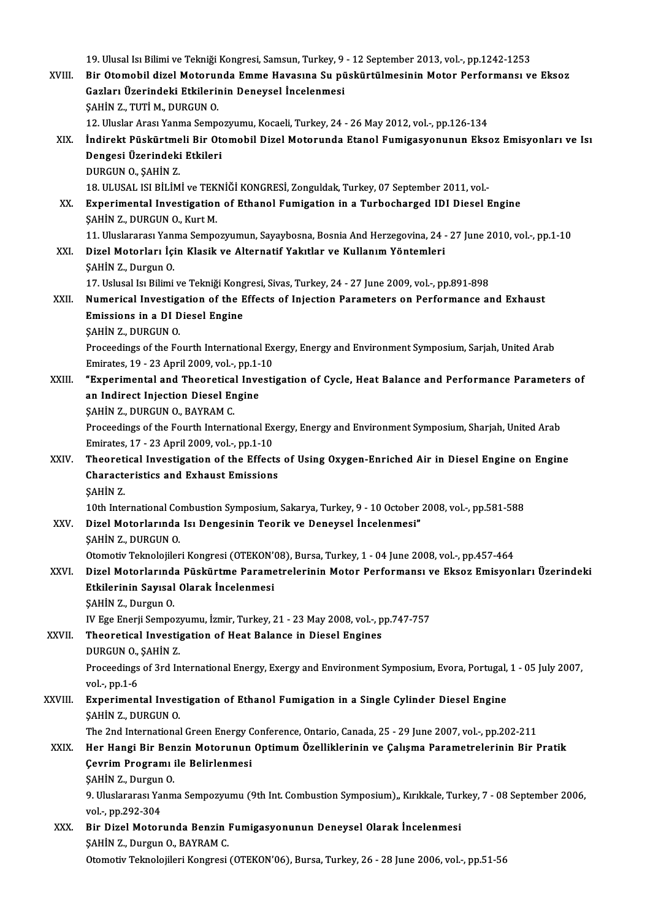19. Ulusal Isı Bilimi ve Tekniği Kongresi, Samsun, Turkey, 9 - 12 September 2013, vol.-, pp.1242-1253<br>Pir Otomobil direl Metenunde Emme Havesune Su nüeküntülmesinin Meten Berformansı v

|              | 19. Ulusal Isı Bilimi ve Tekniği Kongresi, Samsun, Turkey, 9 - 12 September 2013, vol.-, pp.1242-1253         |
|--------------|---------------------------------------------------------------------------------------------------------------|
| XVIII.       | Bir Otomobil dizel Motorunda Emme Havasına Su püskürtülmesinin Motor Performansı ve Eksoz                     |
|              | Gazları Üzerindeki Etkilerinin Deneysel İncelenmesi                                                           |
|              | ŞAHİN Z., TUTİ M., DURGUN O.                                                                                  |
|              | 12. Uluslar Arası Yanma Sempozyumu, Kocaeli, Turkey, 24 - 26 May 2012, vol.-, pp.126-134                      |
| XIX.         | İndirekt Püskürtmeli Bir Otomobil Dizel Motorunda Etanol Fumigasyonunun Eksoz Emisyonları ve Isı              |
|              | Dengesi Üzerindeki Etkileri                                                                                   |
|              | DURGUN O., ŞAHİN Z.                                                                                           |
|              | 18. ULUSAL ISI BİLİMİ ve TEKNİĞİ KONGRESİ, Zonguldak, Turkey, 07 September 2011, vol -                        |
| XX.          | Experimental Investigation of Ethanol Fumigation in a Turbocharged IDI Diesel Engine                          |
|              | ŞAHİN Z., DURGUN O., Kurt M.                                                                                  |
|              | 11. Uluslararası Yanma Sempozyumun, Sayaybosna, Bosnia And Herzegovina, 24 - 27 June 2010, vol.-, pp.1-10     |
| XXI.         | Dizel Motorları İçin Klasik ve Alternatif Yakıtlar ve Kullanım Yöntemleri                                     |
|              | <b><i>ŞAHİN Z, Durgun O.</i></b>                                                                              |
|              | 17. Uslusal Isı Bilimi ve Tekniği Kongresi, Sivas, Turkey, 24 - 27 June 2009, vol.-, pp.891-898               |
| XXII.        | Numerical Investigation of the Effects of Injection Parameters on Performance and Exhaust                     |
|              | Emissions in a DI Diesel Engine                                                                               |
|              | ŞAHİN Z., DURGUN O.                                                                                           |
|              | Proceedings of the Fourth International Exergy, Energy and Environment Symposium, Sarjah, United Arab         |
|              | Emirates, 19 - 23 April 2009, vol., pp.1-10                                                                   |
| XXIII.       | "Experimental and Theoretical Investigation of Cycle, Heat Balance and Performance Parameters of              |
|              | an Indirect Injection Diesel Engine                                                                           |
|              | ŞAHİN Z., DURGUN O., BAYRAM C.                                                                                |
|              | Proceedings of the Fourth International Exergy, Energy and Environment Symposium, Sharjah, United Arab        |
|              | Emirates, 17 - 23 April 2009, vol., pp.1-10                                                                   |
| XXIV.        | Theoretical Investigation of the Effects of Using Oxygen-Enriched Air in Diesel Engine on Engine              |
|              | <b>Characteristics and Exhaust Emissions</b>                                                                  |
|              | SAHİN Z.                                                                                                      |
|              | 10th International Combustion Symposium, Sakarya, Turkey, 9 - 10 October 2008, vol.-, pp.581-588              |
| XXV.         | Dizel Motorlarında Isı Dengesinin Teorik ve Deneysel İncelenmesi"                                             |
|              | <b>SAHİN Z., DURGUN O.</b>                                                                                    |
|              | Otomotiv Teknolojileri Kongresi (OTEKON'08), Bursa, Turkey, 1 - 04 June 2008, vol.-, pp.457-464               |
| XXVI.        | Dizel Motorlarında Püskürtme Parametrelerinin Motor Performansı ve Eksoz Emisyonları Üzerindeki               |
|              | Etkilerinin Sayısal Olarak İncelenmesi                                                                        |
|              | ŞAHİN Z., Durgun O.                                                                                           |
|              | IV Ege Enerji Sempozyumu, İzmir, Turkey, 21 - 23 May 2008, vol. , pp.747-757                                  |
| <b>XXVII</b> | Theoretical Investigation of Heat Balance in Diesel Engines                                                   |
|              | DURGUN O., ŞAHİN Z.                                                                                           |
|              | Proceedings of 3rd International Energy, Exergy and Environment Symposium, Evora, Portugal, 1 - 05 July 2007, |
|              | vol., pp 1-6                                                                                                  |
| XXVIII.      | Experimental Investigation of Ethanol Fumigation in a Single Cylinder Diesel Engine                           |
|              | <b>ŞAHİN Z, DURGUN O</b>                                                                                      |
|              | The 2nd International Green Energy Conference, Ontario, Canada, 25 - 29 June 2007, vol.-, pp.202-211          |
| XXIX.        | Her Hangi Bir Benzin Motorunun Optimum Özelliklerinin ve Çalışma Parametrelerinin Bir Pratik                  |
|              | Çevrim Programı ile Belirlenmesi                                                                              |
|              | <b><i>ŞAHİN Z., Durgun O.</i></b>                                                                             |
|              | 9. Uluslararası Yanma Sempozyumu (9th Int. Combustion Symposium),, Kırıkkale, Turkey, 7 - 08 September 2006,  |
|              | vol., pp 292-304                                                                                              |
| XXX.         | Bir Dizel Motorunda Benzin Fumigasyonunun Deneysel Olarak İncelenmesi                                         |
|              | ŞAHİN Z., Durgun O., BAYRAM C.                                                                                |
|              | Otomotiv Teknolojileri Kongresi (OTEKON'06), Bursa, Turkey, 26 - 28 June 2006, vol.-, pp.51-56                |
|              |                                                                                                               |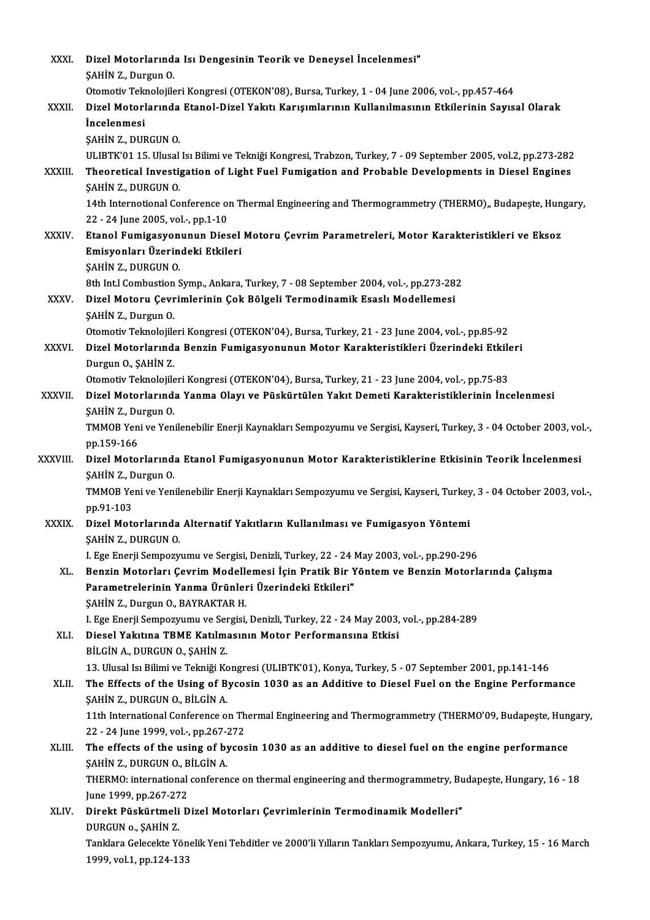| XXXI.        | Dizel Motorlarında Isı Dengesinin Teorik ve Deneysel İncelenmesi"<br><b>ŞAHİN Z., Durgun O.</b>                                                 |
|--------------|-------------------------------------------------------------------------------------------------------------------------------------------------|
|              | Otomotiv Teknolojileri Kongresi (OTEKON'08), Bursa, Turkey, 1 - 04 June 2006, vol.-, pp.457-464                                                 |
| XXXII.       | Dizel Motorlarında Etanol-Dizel Yakıtı Karışımlarının Kullanılmasının Etkilerinin Sayısal Olarak                                                |
|              | <i>incelenmesi</i>                                                                                                                              |
|              | ŞAHİN Z., DURGUN O.                                                                                                                             |
|              | ULIBTK'01 15. Ulusal Isı Bilimi ve Tekniği Kongresi, Trabzon, Turkey, 7 - 09 September 2005, vol.2, pp.273-282                                  |
| XXXIII.      | Theoretical Investigation of Light Fuel Fumigation and Probable Developments in Diesel Engines                                                  |
|              | ŞAHİN Z., DURGUN O.                                                                                                                             |
|              | 14th Internotional Conference on Thermal Engineering and Thermogrammetry (THERMO),, Budapește, Hungary,                                         |
|              | 22 - 24 June 2005, vol. , pp 1-10                                                                                                               |
| <b>XXXIV</b> | Etanol Fumigasyonunun Diesel Motoru Çevrim Parametreleri, Motor Karakteristikleri ve Eksoz                                                      |
|              | Emisyonları Üzerindeki Etkileri                                                                                                                 |
|              | <b>ŞAHİN Z., DURGUN O.</b>                                                                                                                      |
|              | 8th Intl Combustion Symp., Ankara, Turkey, 7 - 08 September 2004, vol., pp.273-282                                                              |
| <b>XXXV</b>  | Dizel Motoru Çevrimlerinin Çok Bölgeli Termodinamik Esaslı Modellemesi                                                                          |
|              | ŞAHİN Z., Durgun O.                                                                                                                             |
|              | Otomotiv Teknolojileri Kongresi (OTEKON'04), Bursa, Turkey, 21 - 23 June 2004, vol.-, pp.85-92                                                  |
| XXXVI.       | Dizel Motorlarında Benzin Fumigasyonunun Motor Karakteristikleri Üzerindeki Etkileri                                                            |
|              | Durgun O., ŞAHİN Z.                                                                                                                             |
|              | Otomotiv Teknolojileri Kongresi (OTEKON'04), Bursa, Turkey, 21 - 23 June 2004, vol.-, pp.75-83                                                  |
| XXXVII.      | Dizel Motorlarında Yanma Olayı ve Püskürtülen Yakıt Demeti Karakteristiklerinin İncelenmesi                                                     |
|              | ŞAHİN Z., Durgun O.                                                                                                                             |
|              | TMMOB Yeni ve Yenilenebilir Enerji Kaynakları Sempozyumu ve Sergisi, Kayseri, Turkey, 3 - 04 October 2003, vol.-,                               |
|              | pp 159-166                                                                                                                                      |
| XXXVIII.     | Dizel Motorlarında Etanol Fumigasyonunun Motor Karakteristiklerine Etkisinin Teorik İncelenmesi                                                 |
|              | <b>ŞAHİN Z., Durgun O.</b><br>TMMOB Yeni ve Yenilenebilir Enerji Kaynakları Sempozyumu ve Sergisi, Kayseri, Turkey, 3 - 04 October 2003, vol.-, |
|              | pp 91-103                                                                                                                                       |
| <b>XXXIX</b> | Dizel Motorlarında Alternatif Yakıtların Kullanılması ve Fumigasyon Yöntemi                                                                     |
|              | SAHİN Z., DURGUN O                                                                                                                              |
|              | I. Ege Enerji Sempozyumu ve Sergisi, Denizli, Turkey, 22 - 24 May 2003, vol.-, pp.290-296                                                       |
| XL.          | Benzin Motorları Çevrim Modellemesi İçin Pratik Bir Yöntem ve Benzin Motorlarında Çalışma                                                       |
|              | Parametrelerinin Yanma Ürünleri Üzerindeki Etkileri"                                                                                            |
|              | ŞAHİN Z., Durgun O., BAYRAKTAR H.                                                                                                               |
|              | I. Ege Enerji Sempozyumu ve Sergisi, Denizli, Turkey, 22 - 24 May 2003, vol.-, pp.284-289                                                       |
| XLI.         | Diesel Yakıtına TBME Katılmasının Motor Performansına Etkisi                                                                                    |
|              | BİLGİN A., DURGUN O., ŞAHİN Z.                                                                                                                  |
|              | 13. Ulusal Isı Bilimi ve Tekniği Kongresi (ULIBTK'01), Konya, Turkey, 5 - 07 September 2001, pp.141-146                                         |
| XLII.        | The Effects of the Using of Bycosin 1030 as an Additive to Diesel Fuel on the Engine Performance                                                |
|              | ŞAHİN Z., DURGUN O., BİLGİN A.                                                                                                                  |
|              | 11th International Conference on Thermal Engineering and Thermogrammetry (THERMO'09, Budapește, Hungary,                                        |
|              | 22 - 24 June 1999, vol., pp 267-272                                                                                                             |
| XLIII.       | The effects of the using of bycosin 1030 as an additive to diesel fuel on the engine performance                                                |
|              | ŞAHİN Z., DURGUN O., BİLGİN A.                                                                                                                  |
|              | THERMO: international conference on thermal engineering and thermogrammetry, Budapește, Hungary, 16 - 18                                        |
|              | June 1999, pp.267-272                                                                                                                           |
| XLIV.        | Direkt Püskürtmeli Dizel Motorları Çevrimlerinin Termodinamik Modelleri"                                                                        |
|              | DURGUN o., ŞAHİN Z.                                                                                                                             |
|              | Tanklara Gelecekte Yönelik Yeni Tehditler ve 2000'li Yılların Tankları Sempozyumu, Ankara, Turkey, 15 - 16 March                                |
|              | 1999, vol.1, pp.124-133                                                                                                                         |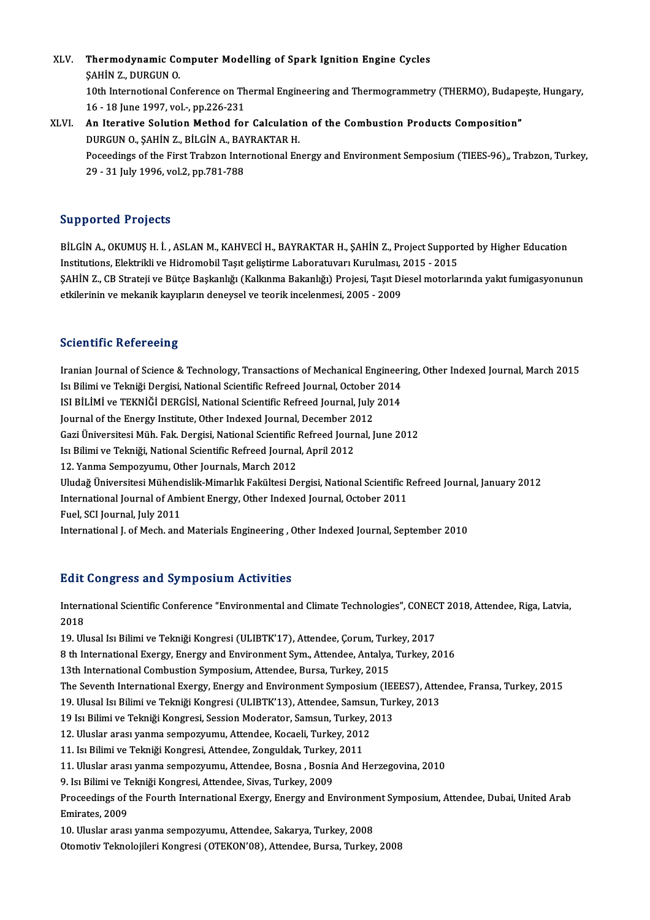- XLV. Thermodynamic Computer Model ing of Spark Ignition Engine Cycles ŞAHİNZ, DURGUNO. 10th Internotional Conference on Thermal Engineering and Thermogrammetry (THERMO), Budapeste, Hungary, 16 -18 June 1997,vol.-,pp.226-231 10th Internotional Conference on Thermal Engineering and Thermogrammetry (THERMO), Budape<br>16 - 18 June 1997, vol.-, pp.226-231<br>XLVI. An Iterative Solution Method for Calculation of the Combustion Products Composition"<br>DUBC
- 16 18 June 1997, vol.-, pp.226-231<br>An Iterative Solution Method for Calculatio<br>DURGUN O., ŞAHİN Z., BİLGİN A., BAYRAKTAR H.<br>Peceedings of the Eirst Trabzon International En An Iterative Solution Method for Calculation of the Combustion Products Composition"<br>DURGUN 0., ŞAHİN Z., BİLGİN A., BAYRAKTAR H.<br>Poceedings of the First Trabzon Internotional Energy and Environment Semposium (TIEES-96),, DURGUN O., ŞAHİN Z., BİLGİN A., BAY<br>Poceedings of the First Trabzon Inte<br>29 - 31 July 1996, vol.2, pp.781-788 29 - 31 July 1996, vol.2, pp.781-788<br>Supported Projects

Supported Projects<br>BİLGİN A., OKUMUŞ H. İ. , ASLAN M., KAHVECİ H., BAYRAKTAR H., ŞAHİN Z., Project Supported by Higher Education<br>Institutiona Elektrikli ve Hidromobil Testt selistirme Laboratuyan Kurulması, 2015, 2015 BİLGİN A., OKUMUŞ H. İ. , ASLAN M., KAHVECİ H., BAYRAKTAR H., ŞAHİN Z., Project Suppor<br>Institutions, Elektrikli ve Hidromobil Taşıt geliştirme Laboratuvarı Kurulması, 2015 - 2015<br>SAHİN Z. CB Strateji ve Bütse Baskanlığı (K ŞAHİN Z., CB Strateji ve Bütçe Başkanlığı (Kalkınma Bakanlığı) Projesi, Taşıt Diesel motorlarında yakıt fumigasyonunun<br>etkilerinin ve mekanik kayıpların deneysel ve teorik incelenmesi, 2005 - 2009 Institutions, Elektrikli ve Hidromobil Taşıt geliştirme Laboratuvarı Kurulması, 2015 - 2015

#### **Scientific Refereeing**

Iranian Journal of Science & Technology, Transactions of Mechanical Engineering, Other Indexed Journal, March 2015 Berenterre Terret Berry<br>Iranian Journal of Science & Technology, Transactions of Mechanical Engineer<br>Isı Bilimi ve Tekniği Dergisi, National Scientific Refreed Journal, October 2014<br>ISLERI INLYS TEKNIČI DERGISI, National S Iranian Journal of Science & Technology, Transactions of Mechanical Engineer<br>Isı Bilimi ve Tekniği Dergisi, National Scientific Refreed Journal, October 2014<br>ISI BİLİMİ ve TEKNİĞİ DERGİSİ, National Scientific Refreed Journ Isı Bilimi ve Tekniği Dergisi, National Scientific Refreed Journal, October<br>ISI BİLİMİ ve TEKNİĞİ DERGİSİ, National Scientific Refreed Journal, July<br>Journal of the Energy Institute, Other Indexed Journal, December 2012<br>Car ISI BİLİMİ ve TEKNİĞİ DERGİSİ, National Scientific Refreed Journal, July 2014<br>Journal of the Energy Institute, Other Indexed Journal, December 2012<br>Gazi Üniversitesi Müh. Fak. Dergisi, National Scientific Refreed Journal, Journal of the Energy Institute, Other Indexed Journal, December 2012<br>Gazi Üniversitesi Müh. Fak. Dergisi, National Scientific Refreed Journal,<br>Isı Bilimi ve Tekniği, National Scientific Refreed Journal, April 2012<br>12. Yan Gazi Üniversitesi Müh. Fak. Dergisi, National Scientific I<br>Isı Bilimi ve Tekniği, National Scientific Refreed Journa<br>12. Yanma Sempozyumu, Other Journals, March 2012<br>Uludeğ Üniversitesi Mühandislik Mimarlık Fakültesi De Isı Bilimi ve Tekniği, National Scientific Refreed Journal, April 2012<br>12. Yanma Sempozyumu, Other Journals, March 2012<br>Uludağ Üniversitesi Mühendislik-Mimarlık Fakültesi Dergisi, National Scientific Refreed Journal, Janua 12. Yanma Sempozyumu, Other Journals, March 2012<br>Uludağ Üniversitesi Mühendislik-Mimarlık Fakültesi Dergisi, National Scientific F<br>International Journal of Ambient Energy, Other Indexed Journal, October 2011<br>Fuel SCI Journ Uludağ Üniversitesi Mühend<br>International Journal of Aml<br>Fuel, SCI Journal, July 2011<br>International Lef Mesh and International Journal of Ambient Energy, Other Indexed Journal, October 2011<br>Fuel, SCI Journal, July 2011<br>International J. of Mech. and Materials Engineering , Other Indexed Journal, September 2010

#### **Edit Congress and Symposium Activities**

Edit Congress and Symposium Activities<br>International Scientific Conference "Environmental and Climate Technologies", CONECT 2018, Attendee, Riga, Latvia, Intern<br>2018<br>2018 International Scientific Conference "Environmental and Climate Technologies", CONEC<br>2018<br>19. Ulusal Isı Bilimi ve Tekniği Kongresi (ULIBTK'17), Attendee, Çorum, Turkey, 2017<br>8.th International Evergy, Energy and Environmen 2018<br>19. Ulusal Isı Bilimi ve Tekniği Kongresi (ULIBTK'17), Attendee, Çorum, Turkey, 2017<br>8 th International Exergy, Energy and Environment Sym., Attendee, Antalya, Turkey, 2016<br>13th International Combustion Symnosium, Att

19. Ulusal Isı Bilimi ve Tekniği Kongresi (ULIBTK'17), Attendee, Çorum, Tur<br>8 th International Exergy, Energy and Environment Sym., Attendee, Antalya<br>13th International Combustion Symposium, Attendee, Bursa, Turkey, 2015<br>T

8 th International Exergy, Energy and Environment Sym., Attendee, Antalya, Turkey, 2016<br>13th International Combustion Symposium, Attendee, Bursa, Turkey, 2015<br>The Seventh International Exergy, Energy and Environment Sympos

13th International Combustion Symposium, Attendee, Bursa, Turkey, 2015<br>The Seventh International Exergy, Energy and Environment Symposium (IEEES7), Atte<br>19. Ulusal Isı Bilimi ve Tekniği Kongresi (ULIBTK'13), Attendee, Sams The Seventh International Exergy, Energy and Environment Symposium (IEI<br>19. Ulusal Isı Bilimi ve Tekniği Kongresi (ULIBTK'13), Attendee, Samsun, Tur<br>19 Isı Bilimi ve Tekniği Kongresi, Session Moderator, Samsun, Turkey, 201 19. Ulusal Isı Bilimi ve Tekniği Kongresi (ULIBTK'13), Attendee, Samsur<br>19 Isı Bilimi ve Tekniği Kongresi, Session Moderator, Samsun, Turkey, 2<br>12. Uluslar arası yanma sempozyumu, Attendee, Kocaeli, Turkey, 2012<br>11. Isı Bi

19 Isı Bilimi ve Tekniği Kongresi, Session Moderator, Samsun, Turkey,<br>12. Uluslar arası yanma sempozyumu, Attendee, Kocaeli, Turkey, 2011<br>11. Isı Bilimi ve Tekniği Kongresi, Attendee, Zonguldak, Turkey, 2011<br>11. Illuslar a

- 
- 
- 11. Isı Bilimi ve Tekniği Kongresi, Attendee, Zonguldak, Turkey, 2011<br>11. Uluslar arası yanma sempozyumu, Attendee, Bosna , Bosnia And Herzegovina, 2010 11. Isı Bilimi ve Tekniği Kongresi, Attendee, Zonguldak, Turkey,<br>11. Uluslar arası yanma sempozyumu, Attendee, Bosna , Bosnia<br>9. Isı Bilimi ve Tekniği Kongresi, Attendee, Sivas, Turkey, 2009<br>Preseedings of the Fourth Inter
- 

Proceedings of the Fourth International Exergy, Energy and Environment Symposium, Attendee, Dubai, United Arab<br>Emirates, 2009 9. Isi Bilimi ve T<br>Proceedings of t<br>Emirates, 2009<br>10. Uluslar anas

10. Uluslar arası yanma sempozyumu, Attendee, Sakarya, Turkey, 2008

Otomotiv Teknolojileri Kongresi (OTEKON'08), Attendee, Bursa, Turkey, 2008